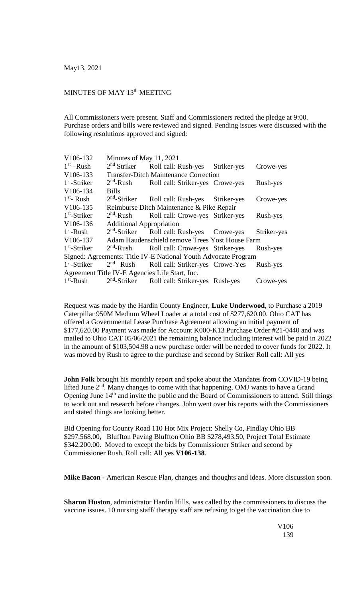## MINUTES OF MAY 13<sup>th</sup> MEETING

All Commissioners were present. Staff and Commissioners recited the pledge at 9:00. Purchase orders and bills were reviewed and signed. Pending issues were discussed with the following resolutions approved and signed:

| V106-132                                                       | Minutes of May 11, 2021                         |                                                          |  |             |  |
|----------------------------------------------------------------|-------------------------------------------------|----------------------------------------------------------|--|-------------|--|
| $1st$ –Rush                                                    | 2 <sup>nd</sup> Striker                         | Roll call: Rush-yes Striker-yes                          |  | Crowe-yes   |  |
| V106-133                                                       | <b>Transfer-Ditch Maintenance Correction</b>    |                                                          |  |             |  |
| $1st$ -Striker                                                 | $2nd$ -Rush                                     | Roll call: Striker-yes Crowe-yes                         |  | Rush-yes    |  |
| V106-134                                                       | <b>Bills</b>                                    |                                                          |  |             |  |
| $1st$ - Rush                                                   |                                                 | 2 <sup>nd</sup> -Striker Roll call: Rush-yes Striker-yes |  | Crowe-yes   |  |
| V106-135                                                       | Reimburse Ditch Maintenance & Pike Repair       |                                                          |  |             |  |
| $1st$ -Striker                                                 | $2nd$ -Rush                                     | Roll call: Crowe-yes Striker-yes                         |  | Rush-yes    |  |
| V106-136                                                       | <b>Additional Appropriation</b>                 |                                                          |  |             |  |
| $1st$ -Rush                                                    |                                                 | $2nd$ -Striker Roll call: Rush-yes Crowe-yes             |  | Striker-yes |  |
| V106-137                                                       | Adam Haudenschield remove Trees Yost House Farm |                                                          |  |             |  |
| $1st$ -Striker                                                 |                                                 | 2 <sup>nd</sup> -Rush Roll call: Crowe-yes Striker-yes   |  | Rush-yes    |  |
| Signed: Agreements: Title IV-E National Youth Advocate Program |                                                 |                                                          |  |             |  |
| $1st$ -Striker                                                 |                                                 | $2nd$ –Rush Roll call: Striker-yes Crowe-Yes             |  | Rush-yes    |  |
| Agreement Title IV-E Agencies Life Start, Inc.                 |                                                 |                                                          |  |             |  |
| $1st$ -Rush                                                    |                                                 | 2 <sup>nd</sup> -Striker Roll call: Striker-yes Rush-yes |  | Crowe-yes   |  |

Request was made by the Hardin County Engineer, **Luke Underwood**, to Purchase a 2019 Caterpillar 950M Medium Wheel Loader at a total cost of \$277,620.00. Ohio CAT has offered a Governmental Lease Purchase Agreement allowing an initial payment of \$177,620.00 Payment was made for Account K000-K13 Purchase Order #21-0440 and was mailed to Ohio CAT 05/06/2021 the remaining balance including interest will be paid in 2022 in the amount of \$103,504.98 a new purchase order will be needed to cover funds for 2022. It was moved by Rush to agree to the purchase and second by Striker Roll call: All yes

**John Folk** brought his monthly report and spoke about the Mandates from COVID-19 being lifted June 2<sup>nd</sup>. Many changes to come with that happening. OMJ wants to have a Grand Opening June 14<sup>th</sup> and invite the public and the Board of Commissioners to attend. Still things to work out and research before changes. John went over his reports with the Commissioners and stated things are looking better.

Bid Opening for County Road 110 Hot Mix Project: Shelly Co, Findlay Ohio BB \$297,568.00, Bluffton Paving Bluffton Ohio BB \$278,493.50, Project Total Estimate \$342,200.00. Moved to except the bids by Commissioner Striker and second by Commissioner Rush. Roll call: All yes **V106-138**.

**Mike Bacon** - American Rescue Plan, changes and thoughts and ideas. More discussion soon.

**Sharon Huston**, administrator Hardin Hills, was called by the commissioners to discuss the vaccine issues. 10 nursing staff/ therapy staff are refusing to get the vaccination due to